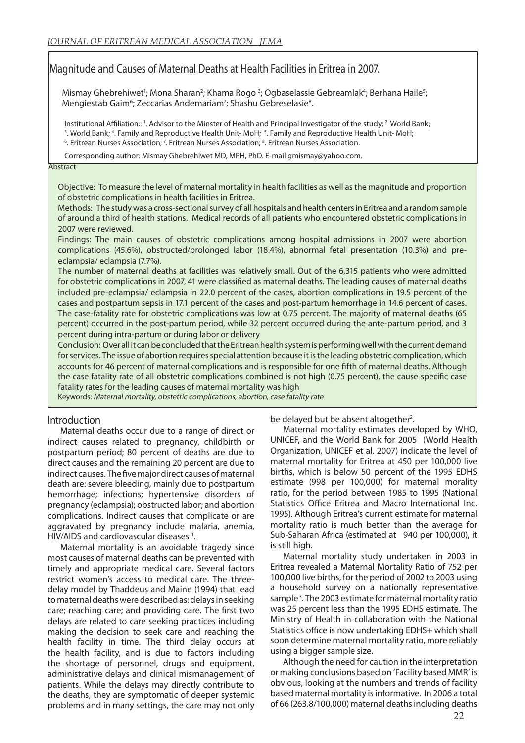# Magnitude and Causes of Maternal Deaths at Health Facilities in Eritrea in 2007.

Mismay Ghebrehiwet<sup>1</sup>; Mona Sharan<sup>2</sup>; Khama Rogo<sup>3</sup>; Ogbaselassie Gebreamlak<sup>4</sup>; Berhana Haile<sup>5</sup>; Mengiestab Gaim<sup>6</sup>; Zeccarias Andemariam<sup>7</sup>; Shashu Gebreselasie<sup>8</sup>.

Institutional Affiliation:: '. Advisor to the Minster of Health and Principal Investigator of the study; <sup>2</sup> World Bank;

<sup>3</sup>. World Bank; <sup>4</sup>. Family and Reproductive Health Unit- MoH; <sup>5</sup>. Family and Reproductive Health Unit- MoH;

<sup>6</sup>. Eritrean Nurses Association; <sup>7</sup>. Eritrean Nurses Association; <sup>8</sup>. Eritrean Nurses Association.

Corresponding author: Mismay Ghebrehiwet MD, MPH, PhD. E-mail gmismay@yahoo.com.

#### **Abstract**

Objective: To measure the level of maternal mortality in health facilities as well as the magnitude and proportion of obstetric complications in health facilities in Eritrea.

Methods: The study was a cross-sectional survey of all hospitals and health centers in Eritrea and a random sample of around a third of health stations. Medical records of all patients who encountered obstetric complications in 2007 were reviewed.

Findings: The main causes of obstetric complications among hospital admissions in 2007 were abortion complications (45.6%), obstructed/prolonged labor (18.4%), abnormal fetal presentation (10.3%) and preeclampsia/ eclampsia (7.7%).

The number of maternal deaths at facilities was relatively small. Out of the 6,315 patients who were admitted for obstetric complications in 2007, 41 were classified as maternal deaths. The leading causes of maternal deaths included pre-eclampsia/ eclampsia in 22.0 percent of the cases, abortion complications in 19.5 percent of the cases and postpartum sepsis in 17.1 percent of the cases and post-partum hemorrhage in 14.6 percent of cases. The case-fatality rate for obstetric complications was low at 0.75 percent. The majority of maternal deaths (65 percent) occurred in the post-partum period, while 32 percent occurred during the ante-partum period, and 3 percent during intra-partum or during labor or delivery

Conclusion: Over all it can be concluded that the Eritrean health system is performing well with the current demand for services. The issue of abortion requires special attention because it is the leading obstetric complication, which accounts for 46 percent of maternal complications and is responsible for one fifth of maternal deaths. Although the case fatality rate of all obstetric complications combined is not high (0.75 percent), the cause specific case fatality rates for the leading causes of maternal mortality was high

Keywords: Maternal mortality, obstetric complications, abortion, case fatality rate

## Introduction

Maternal deaths occur due to a range of direct or indirect causes related to pregnancy, childbirth or postpartum period; 80 percent of deaths are due to direct causes and the remaining 20 percent are due to indirect causes. The five major direct causes of maternal death are: severe bleeding, mainly due to postpartum hemorrhage; infections; hypertensive disorders of pregnancy (eclampsia); obstructed labor; and abortion complications. Indirect causes that complicate or are aggravated by pregnancy include malaria, anemia, HIV/AIDS and cardiovascular diseases<sup>1</sup>.

Maternal mortality is an avoidable tragedy since most causes of maternal deaths can be prevented with timely and appropriate medical care. Several factors restrict women's access to medical care. The threedelay model by Thaddeus and Maine (1994) that lead to maternal deaths were described as: delays in seeking care; reaching care; and providing care. The first two delays are related to care seeking practices including making the decision to seek care and reaching the health facility in time. The third delay occurs at the health facility, and is due to factors including the shortage of personnel, drugs and equipment, administrative delays and clinical mismanagement of patients. While the delays may directly contribute to the deaths, they are symptomatic of deeper systemic problems and in many settings, the care may not only be delayed but be absent altogether<sup>2</sup>.

Maternal mortality estimates developed by WHO, UNICEF, and the World Bank for 2005 (World Health Organization, UNICEF et al. 2007) indicate the level of maternal mortality for Eritrea at 450 per 100,000 live births, which is below 50 percent of the 1995 EDHS estimate (998 per 100,000) for maternal morality ratio, for the period between 1985 to 1995 (National Statistics Office Eritrea and Macro International Inc. 1995). Although Eritrea's current estimate for maternal mortality ratio is much better than the average for Sub-Saharan Africa (estimated at 940 per 100,000), it is still high.

Maternal mortality study undertaken in 2003 in Eritrea revealed a Maternal Mortality Ratio of 752 per 100,000 live births, for the period of 2002 to 2003 using a household survey on a nationally representative sample<sup>3</sup>. The 2003 estimate for maternal mortality ratio was 25 percent less than the 1995 EDHS estimate. The Ministry of Health in collaboration with the National Statistics office is now undertaking EDHS+ which shall soon determine maternal mortality ratio, more reliably using a bigger sample size.

Although the need for caution in the interpretation or making conclusions based on 'Facility based MMR' is obvious, looking at the numbers and trends of facility based maternal mortality is informative. In 2006 a total of 66 (263.8/100,000) maternal deaths including deaths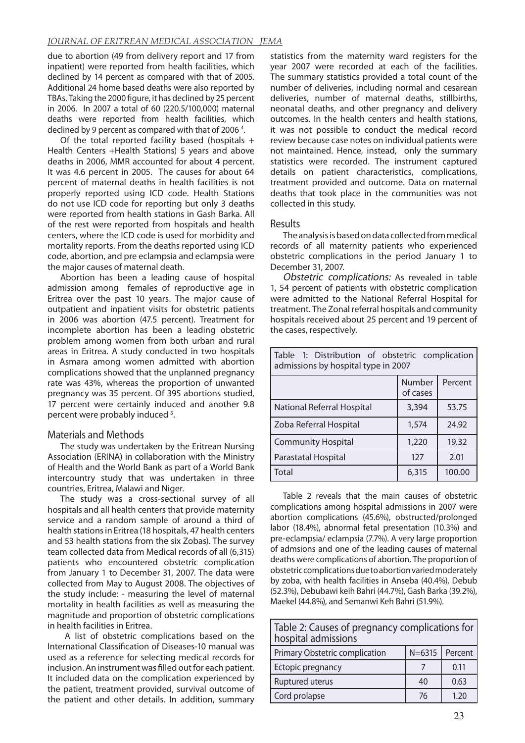### *JOURNAL OF ERITREAN MEDICAL ASSOCIATION JEMA*

due to abortion (49 from delivery report and 17 from inpatient) were reported from health facilities, which declined by 14 percent as compared with that of 2005. Additional 24 home based deaths were also reported by TBAs. Taking the 2000 figure, it has declined by 25 percent in 2006. In 2007 a total of 60 (220.5/100,000) maternal deaths were reported from health facilities, which declined by 9 percent as compared with that of 2006<sup>4</sup>.

Of the total reported facility based (hospitals + Health Centers +Health Stations) 5 years and above deaths in 2006, MMR accounted for about 4 percent. It was 4.6 percent in 2005. The causes for about 64 percent of maternal deaths in health facilities is not properly reported using ICD code. Health Stations do not use ICD code for reporting but only 3 deaths were reported from health stations in Gash Barka. All of the rest were reported from hospitals and health centers, where the ICD code is used for morbidity and mortality reports. From the deaths reported using ICD code, abortion, and pre eclampsia and eclampsia were the major causes of maternal death.

Abortion has been a leading cause of hospital admission among females of reproductive age in Eritrea over the past 10 years. The major cause of outpatient and inpatient visits for obstetric patients in 2006 was abortion (47.5 percent). Treatment for incomplete abortion has been a leading obstetric problem among women from both urban and rural areas in Eritrea. A study conducted in two hospitals in Asmara among women admitted with abortion complications showed that the unplanned pregnancy rate was 43%, whereas the proportion of unwanted pregnancy was 35 percent. Of 395 abortions studied, 17 percent were certainly induced and another 9.8 percent were probably induced<sup>5</sup>.

## Materials and Methods

The study was undertaken by the Eritrean Nursing Association (ERINA) in collaboration with the Ministry of Health and the World Bank as part of a World Bank intercountry study that was undertaken in three countries, Eritrea, Malawi and Niger.

The study was a cross-sectional survey of all hospitals and all health centers that provide maternity service and a random sample of around a third of health stations in Eritrea (18 hospitals, 47 health centers and 53 health stations from the six Zobas). The survey team collected data from Medical records of all (6,315) patients who encountered obstetric complication from January 1 to December 31, 2007. The data were collected from May to August 2008. The objectives of the study include: - measuring the level of maternal mortality in health facilities as well as measuring the magnitude and proportion of obstetric complications in health facilities in Eritrea.

 A list of obstetric complications based on the International Classification of Diseases-10 manual was used as a reference for selecting medical records for inclusion. An instrument was filled out for each patient. It included data on the complication experienced by the patient, treatment provided, survival outcome of the patient and other details. In addition, summary

statistics from the maternity ward registers for the year 2007 were recorded at each of the facilities. The summary statistics provided a total count of the number of deliveries, including normal and cesarean deliveries, number of maternal deaths, stillbirths, neonatal deaths, and other pregnancy and delivery outcomes. In the health centers and health stations, it was not possible to conduct the medical record review because case notes on individual patients were not maintained. Hence, instead, only the summary statistics were recorded. The instrument captured details on patient characteristics, complications, treatment provided and outcome. Data on maternal deaths that took place in the communities was not collected in this study.

## Results

The analysis is based on data collected from medical records of all maternity patients who experienced obstetric complications in the period January 1 to December 31, 2007.

Obstetric complications: As revealed in table 1, 54 percent of patients with obstetric complication were admitted to the National Referral Hospital for treatment. The Zonal referral hospitals and community hospitals received about 25 percent and 19 percent of the cases, respectively.

| Table 1: Distribution of obstetric complication<br>admissions by hospital type in 2007 |                    |         |  |  |
|----------------------------------------------------------------------------------------|--------------------|---------|--|--|
|                                                                                        | Number<br>of cases | Percent |  |  |
| National Referral Hospital                                                             | 3,394              | 53.75   |  |  |
| Zoba Referral Hospital                                                                 | 1,574              | 24.92   |  |  |
| <b>Community Hospital</b>                                                              | 1,220              | 19.32   |  |  |
| Parastatal Hospital                                                                    | 127                | 2.01    |  |  |
| l Total                                                                                | 6,315              | 100.00  |  |  |

Table 2 reveals that the main causes of obstetric complications among hospital admissions in 2007 were abortion complications (45.6%), obstructed/prolonged labor (18.4%), abnormal fetal presentation (10.3%) and pre-eclampsia/ eclampsia (7.7%). A very large proportion of admsions and one of the leading causes of maternal deaths were complications of abortion. The proportion of obstetric complications due to abortion varied moderately by zoba, with health facilities in Anseba (40.4%), Debub (52.3%), Debubawi keih Bahri (44.7%), Gash Barka (39.2%), Maekel (44.8%), and Semanwi Keh Bahri (51.9%).

| Table 2: Causes of pregnancy complications for  <br>hospital admissions |    |                  |  |
|-------------------------------------------------------------------------|----|------------------|--|
| Primary Obstetric complication                                          |    | $N=6315$ Percent |  |
| Ectopic pregnancy                                                       |    | 0.11             |  |
| Ruptured uterus                                                         | 40 | 0.63             |  |
| Cord prolapse                                                           | 76 | 1.20             |  |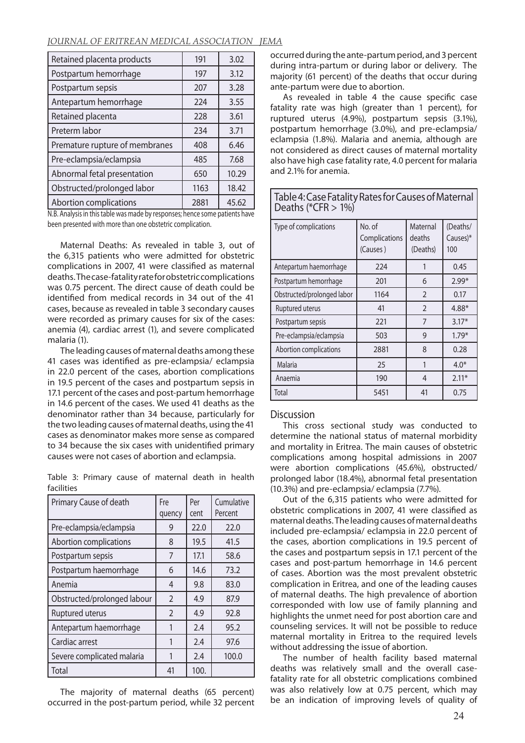#### *JOURNAL OF ERITREAN MEDICAL ASSOCIATION JEMA*

| Retained placenta products     | 191  | 3.02  |
|--------------------------------|------|-------|
| Postpartum hemorrhage          | 197  | 3.12  |
| Postpartum sepsis              | 207  | 3.28  |
| Antepartum hemorrhage          | 224  | 3.55  |
| Retained placenta              | 228  | 3.61  |
| Preterm labor                  | 234  | 3.71  |
| Premature rupture of membranes | 408  | 6.46  |
| Pre-eclampsia/eclampsia        | 485  | 7.68  |
| Abnormal fetal presentation    | 650  | 10.29 |
| Obstructed/prolonged labor     | 1163 | 18.42 |
| Abortion complications         | 2881 | 45.62 |

N.B. Analysis in this table was made by responses; hence some patients have been presented with more than one obstetric complication.

Maternal Deaths: As revealed in table 3, out of the 6,315 patients who were admitted for obstetric complications in 2007, 41 were classified as maternal deaths. The case-fatality rate for obstetric complications was 0.75 percent. The direct cause of death could be identified from medical records in 34 out of the 41 cases, because as revealed in table 3 secondary causes were recorded as primary causes for six of the cases: anemia (4), cardiac arrest (1), and severe complicated malaria (1).

The leading causes of maternal deaths among these 41 cases was identified as pre-eclampsia/ eclampsia in 22.0 percent of the cases, abortion complications in 19.5 percent of the cases and postpartum sepsis in 17.1 percent of the cases and post-partum hemorrhage in 14.6 percent of the cases. We used 41 deaths as the denominator rather than 34 because, particularly for the two leading causes of maternal deaths, using the 41 cases as denominator makes more sense as compared to 34 because the six cases with unidentified primary causes were not cases of abortion and eclampsia.

Table 3: Primary cause of maternal death in health facilities

| Primary Cause of death      | Fre<br>quency  | Per<br>cent | Cumulative<br>Percent |
|-----------------------------|----------------|-------------|-----------------------|
| Pre-eclampsia/eclampsia     | 9              | 22.0        | 22.0                  |
| Abortion complications      | 8              | 19.5        | 41.5                  |
| Postpartum sepsis           | 7              | 17.1        | 58.6                  |
| Postpartum haemorrhage      | 6              | 14.6        | 73.2                  |
| Anemia                      | 4              | 9.8         | 83.0                  |
| Obstructed/prolonged labour | $\overline{2}$ | 4.9         | 87.9                  |
| <b>Ruptured uterus</b>      | $\overline{2}$ | 4.9         | 92.8                  |
| Antepartum haemorrhage      | 1              | 2.4         | 95.2                  |
| Cardiac arrest              | 1              | 2.4         | 97.6                  |
| Severe complicated malaria  | 1              | 2.4         | 100.0                 |
| Total                       | 41             | 100.        |                       |

The majority of maternal deaths (65 percent) occurred in the post-partum period, while 32 percent

occurred during the ante-partum period, and 3 percent during intra-partum or during labor or delivery. The majority (61 percent) of the deaths that occur during ante-partum were due to abortion.

As revealed in table 4 the cause specific case fatality rate was high (greater than 1 percent), for ruptured uterus (4.9%), postpartum sepsis (3.1%), postpartum hemorrhage (3.0%), and pre-eclampsia/ eclampsia (1.8%). Malaria and anemia, although are not considered as direct causes of maternal mortality also have high case fatality rate, 4.0 percent for malaria and 2.1% for anemia.

Table 4: Case Fatality Rates for Causes of Maternal Deaths ( $^*CFR > 1\%)$ 

| Type of complications      | No. of<br>Complications<br>(Causes) | Maternal<br>deaths<br>(Deaths) | (Deaths/<br>Causes)*<br>100 |
|----------------------------|-------------------------------------|--------------------------------|-----------------------------|
| Antepartum haemorrhage     | 224                                 | 1                              | 0.45                        |
| Postpartum hemorrhage      | 201                                 | 6                              | $2.99*$                     |
| Obstructed/prolonged labor | 1164                                | $\overline{2}$                 | 0.17                        |
| Ruptured uterus            | 41                                  | $\overline{2}$                 | $4.88*$                     |
| Postpartum sepsis          | 221                                 | 7                              | $3.17*$                     |
| Pre-eclampsia/eclampsia    | 503                                 | 9                              | $1.79*$                     |
| Abortion complications     | 2881                                | 8                              | 0.28                        |
| Malaria                    | 25                                  | 1                              | $4.0*$                      |
| Anaemia                    | 190                                 | 4                              | $2.11*$                     |
| Total                      | 5451                                | 41                             | 0.75                        |

#### **Discussion**

This cross sectional study was conducted to determine the national status of maternal morbidity and mortality in Eritrea. The main causes of obstetric complications among hospital admissions in 2007 were abortion complications (45.6%), obstructed/ prolonged labor (18.4%), abnormal fetal presentation (10.3%) and pre-eclampsia/ eclampsia (7.7%).

Out of the 6,315 patients who were admitted for obstetric complications in 2007, 41 were classified as maternal deaths. The leading causes of maternal deaths included pre-eclampsia/ eclampsia in 22.0 percent of the cases, abortion complications in 19.5 percent of the cases and postpartum sepsis in 17.1 percent of the cases and post-partum hemorrhage in 14.6 percent of cases. Abortion was the most prevalent obstetric complication in Eritrea, and one of the leading causes of maternal deaths. The high prevalence of abortion corresponded with low use of family planning and highlights the unmet need for post abortion care and counseling services. It will not be possible to reduce maternal mortality in Eritrea to the required levels without addressing the issue of abortion.

The number of health facility based maternal deaths was relatively small and the overall casefatality rate for all obstetric complications combined was also relatively low at 0.75 percent, which may be an indication of improving levels of quality of